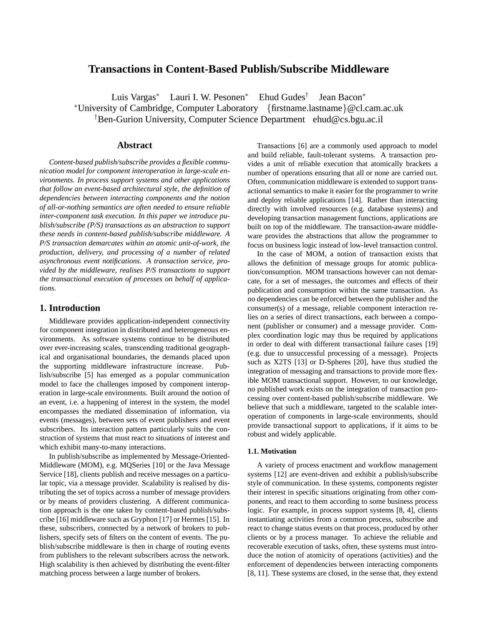# **Transactions in Content-Based Publish/Subscribe Middleware**

Luis Vargas<sup>∗</sup> Lauri I. W. Pesonen<sup>∗</sup> Ehud Gudes† Jean Bacon<sup>∗</sup> <sup>∗</sup>University of Cambridge, Computer Laboratory {firstname.lastname}@cl.cam.ac.uk †Ben-Gurion University, Computer Science Department ehud@cs.bgu.ac.il

# **Abstract**

*Content-based publish/subscribe provides a flexible communication model for component interoperation in large-scale environments. In process support systems and other applications that follow an event-based architectural style, the definition of dependencies between interacting components and the notion of all-or-nothing semantics are often needed to ensure reliable inter-component task execution. In this paper we introduce publish/subscribe (P/S) transactions as an abstraction to support these needs in content-based publish/subscribe middleware. A P/S transaction demarcates within an atomic unit-of-work, the production, delivery, and processing of a number of related asynchronous event notifications. A transaction service, provided by the middleware, realises P/S transactions to support the transactional execution of processes on behalf of applications.*

# **1. Introduction**

Middleware provides application-independent connectivity for component integration in distributed and heterogeneous environments. As software systems continue to be distributed over ever-increasing scales, transcending traditional geographical and organisational boundaries, the demands placed upon the supporting middleware infrastructure increase. Publish/subscribe [5] has emerged as a popular communication model to face the challenges imposed by component interoperation in large-scale environments. Built around the notion of an event, i.e. a happening of interest in the system, the model encompasses the mediated dissemination of information, via events (messages), between sets of event publishers and event subscribers. Its interaction pattern particularly suits the construction of systems that must react to situations of interest and which exhibit many-to-many interactions.

In publish/subscribe as implemented by Message-Oriented-Middleware (MOM), e.g. MQSeries [10] or the Java Message Service [18], clients publish and receive messages on a particular topic, via a message provider. Scalability is realised by distributing the set of topics across a number of message providers or by means of providers clustering. A different communication approach is the one taken by content-based publish/subscribe [16] middleware such as Gryphon [17] or Hermes [15]. In these, subscribers, connected by a network of brokers to publishers, specify sets of filters on the content of events. The publish/subscribe middleware is then in charge of routing events from publishers to the relevant subscribers across the network. High scalability is then achieved by distributing the event-filter matching process between a large number of brokers.

Transactions [6] are a commonly used approach to model and build reliable, fault-tolerant systems. A transaction provides a unit of reliable execution that atomically brackets a number of operations ensuring that all or none are carried out. Often, communication middleware is extended to support transactional semantics to make it easier for the programmer to write and deploy reliable applications [14]. Rather than interacting directly with involved resources (e.g. database systems) and developing transaction management functions, applications are built on top of the middleware. The transaction-aware middleware provides the abstractions that allow the programmer to focus on business logic instead of low-level transaction control.

In the case of MOM, a notion of transaction exists that allows the definition of message groups for atomic publication/consumption. MOM transactions however can not demarcate, for a set of messages, the outcomes and effects of their publication and consumption within the same transaction. As no dependencies can be enforced between the publisher and the consumer(s) of a message, reliable component interaction relies on a series of direct transactions, each between a component (publisher or consumer) and a message provider. Complex coordination logic may thus be required by applications in order to deal with different transactional failure cases [19] (e.g. due to unsuccessful processing of a message). Projects such as X2TS [13] or D-Spheres [20], have thus studied the integration of messaging and transactions to provide more flexible MOM transactional support. However, to our knowledge, no published work exists on the integration of transaction processing over content-based publish/subscribe middleware. We believe that such a middleware, targeted to the scalable interoperation of components in large-scale environments, should provide transactional support to applications, if it aims to be robust and widely applicable.

#### **1.1. Motivation**

A variety of process enactment and workflow management systems [12] are event-driven and exhibit a publish/subscribe style of communication. In these systems, components register their interest in specific situations originating from other components, and react to them according to some business process logic. For example, in process support systems [8, 4], clients instantiating activities from a common process, subscribe and react to change status events on that process, produced by other clients or by a process manager. To achieve the reliable and recoverable execution of tasks, often, these systems must introduce the notion of atomicity of operations (activities) and the enforcement of dependencies between interacting components [8, 11]. These systems are closed, in the sense that, they extend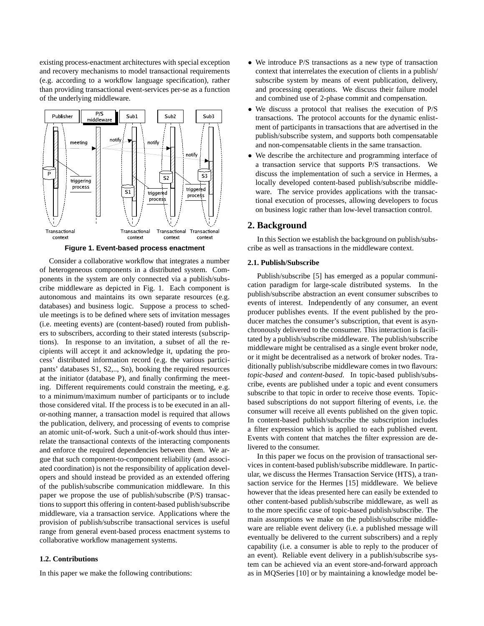existing process-enactment architectures with special exception and recovery mechanisms to model transactional requirements (e.g. according to a workflow language specification), rather than providing transactional event-services per-se as a function of the underlying middleware.



**Figure 1. Event-based process enactment**

Consider a collaborative workflow that integrates a number of heterogeneous components in a distributed system. Components in the system are only connected via a publish/subscribe middleware as depicted in Fig. 1. Each component is autonomous and maintains its own separate resources (e.g. databases) and business logic. Suppose a process to schedule meetings is to be defined where sets of invitation messages (i.e. meeting events) are (content-based) routed from publishers to subscribers, according to their stated interests (subscriptions). In response to an invitation, a subset of all the recipients will accept it and acknowledge it, updating the process' distributed information record (e.g. the various participants' databases S1, S2,.., Sn), booking the required resources at the initiator (database P), and finally confirming the meeting. Different requirements could constrain the meeting, e.g. to a minimum/maximum number of participants or to include those considered vital. If the process is to be executed in an allor-nothing manner, a transaction model is required that allows the publication, delivery, and processing of events to comprise an atomic unit-of-work. Such a unit-of-work should thus interrelate the transactional contexts of the interacting components and enforce the required dependencies between them. We argue that such component-to-component reliability (and associated coordination) is not the responsibility of application developers and should instead be provided as an extended offering of the publish/subscribe communication middleware. In this paper we propose the use of publish/subscribe (P/S) transactions to support this offering in content-based publish/subscribe middleware, via a transaction service. Applications where the provision of publish/subscribe transactional services is useful range from general event-based process enactment systems to collaborative workflow management systems.

#### **1.2. Contributions**

In this paper we make the following contributions:

- We introduce P/S transactions as a new type of transaction context that interrelates the execution of clients in a publish/ subscribe system by means of event publication, delivery, and processing operations. We discuss their failure model and combined use of 2-phase commit and compensation.
- We discuss a protocol that realises the execution of P/S transactions. The protocol accounts for the dynamic enlistment of participants in transactions that are advertised in the publish/subscribe system, and supports both compensatable and non-compensatable clients in the same transaction.
- We describe the architecture and programming interface of a transaction service that supports P/S transactions. We discuss the implementation of such a service in Hermes, a locally developed content-based publish/subscribe middleware. The service provides applications with the transactional execution of processes, allowing developers to focus on business logic rather than low-level transaction control.

# **2. Background**

In this Section we establish the background on publish/subscribe as well as transactions in the middleware context.

### **2.1. Publish/Subscribe**

Publish/subscribe [5] has emerged as a popular communication paradigm for large-scale distributed systems. In the publish/subscribe abstraction an event consumer subscribes to events of interest. Independently of any consumer, an event producer publishes events. If the event published by the producer matches the consumer's subscription, that event is asynchronously delivered to the consumer. This interaction is facilitated by a publish/subscribe middleware. The publish/subscribe middleware might be centralised as a single event broker node, or it might be decentralised as a network of broker nodes. Traditionally publish/subscribe middleware comes in two flavours: *topic-based* and *content-based*. In topic-based publish/subscribe, events are published under a topic and event consumers subscribe to that topic in order to receive those events. Topicbased subscriptions do not support filtering of events, i.e. the consumer will receive all events published on the given topic. In content-based publish/subscribe the subscription includes a filter expression which is applied to each published event. Events with content that matches the filter expression are delivered to the consumer.

In this paper we focus on the provision of transactional services in content-based publish/subscribe middleware. In particular, we discuss the Hermes Transaction Service (HTS), a transaction service for the Hermes [15] middleware. We believe however that the ideas presented here can easily be extended to other content-based publish/subscribe middleware, as well as to the more specific case of topic-based publish/subscribe. The main assumptions we make on the publish/subscribe middleware are reliable event delivery (i.e. a published message will eventually be delivered to the current subscribers) and a reply capability (i.e. a consumer is able to reply to the producer of an event). Reliable event delivery in a publish/subscribe system can be achieved via an event store-and-forward approach as in MQSeries [10] or by maintaining a knowledge model be-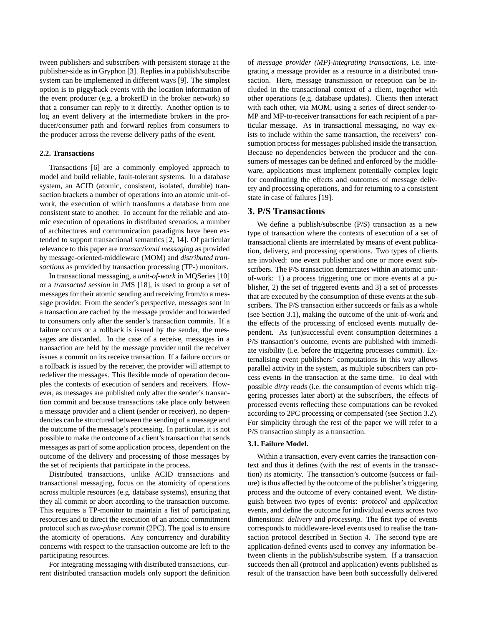tween publishers and subscribers with persistent storage at the publisher-side as in Gryphon [3]. Replies in a publish/subscribe system can be implemented in different ways [9]. The simplest option is to piggyback events with the location information of the event producer (e.g. a brokerID in the broker network) so that a consumer can reply to it directly. Another option is to log an event delivery at the intermediate brokers in the producer/consumer path and forward replies from consumers to the producer across the reverse delivery paths of the event.

### **2.2. Transactions**

Transactions [6] are a commonly employed approach to model and build reliable, fault-tolerant systems. In a database system, an ACID (atomic, consistent, isolated, durable) transaction brackets a number of operations into an atomic unit-ofwork, the execution of which transforms a database from one consistent state to another. To account for the reliable and atomic execution of operations in distributed scenarios, a number of architectures and communication paradigms have been extended to support transactional semantics [2, 14]. Of particular relevance to this paper are *transactional messaging* as provided by message-oriented-middleware (MOM) and *distributed transactions* as provided by transaction processing (TP-) monitors.

In transactional messaging, a *unit-of-work* in MQSeries [10] or a *transacted session* in JMS [18], is used to group a set of messages for their atomic sending and receiving from/to a message provider. From the sender's perspective, messages sent in a transaction are cached by the message provider and forwarded to consumers only after the sender's transaction commits. If a failure occurs or a rollback is issued by the sender, the messages are discarded. In the case of a receive, messages in a transaction are held by the message provider until the receiver issues a commit on its receive transaction. If a failure occurs or a rollback is issued by the receiver, the provider will attempt to redeliver the messages. This flexible mode of operation decouples the contexts of execution of senders and receivers. However, as messages are published only after the sender's transaction commit and because transactions take place only between a message provider and a client (sender or receiver), no dependencies can be structured between the sending of a message and the outcome of the message's processing. In particular, it is not possible to make the outcome of a client's transaction that sends messages as part of some application process, dependent on the outcome of the delivery and processing of those messages by the set of recipients that participate in the process.

Distributed transactions, unlike ACID transactions and transactional messaging, focus on the atomicity of operations across multiple resources (e.g. database systems), ensuring that they all commit or abort according to the transaction outcome. This requires a TP-monitor to maintain a list of participating resources and to direct the execution of an atomic commitment protocol such as *two-phase commit* (2PC). The goal is to ensure the atomicity of operations. Any concurrency and durability concerns with respect to the transaction outcome are left to the participating resources.

For integrating messaging with distributed transactions, current distributed transaction models only support the definition of *message provider (MP)-integrating transactions*, i.e. integrating a message provider as a resource in a distributed transaction. Here, message transmission or reception can be included in the transactional context of a client, together with other operations (e.g. database updates). Clients then interact with each other, via MOM, using a series of direct sender-to-MP and MP-to-receiver transactions for each recipient of a particular message. As in transactional messaging, no way exists to include within the same transaction, the receivers' consumption process for messages published inside the transaction. Because no dependencies between the producer and the consumers of messages can be defined and enforced by the middleware, applications must implement potentially complex logic for coordinating the effects and outcomes of message delivery and processing operations, and for returning to a consistent state in case of failures [19].

## **3. P/S Transactions**

We define a publish/subscribe (P/S) transaction as a new type of transaction where the contexts of execution of a set of transactional clients are interrelated by means of event publication, delivery, and processing operations. Two types of clients are involved: one event publisher and one or more event subscribers. The P/S transaction demarcates within an atomic unitof-work: 1) a process triggering one or more events at a publisher, 2) the set of triggered events and 3) a set of processes that are executed by the consumption of these events at the subscribers. The P/S transaction either succeeds or fails as a whole (see Section 3.1), making the outcome of the unit-of-work and the effects of the processing of enclosed events mutually dependent. As (un)successful event consumption determines a P/S transaction's outcome, events are published with immediate visibility (i.e. before the triggering processes commit). Externalising event publishers' computations in this way allows parallel activity in the system, as multiple subscribers can process events in the transaction at the same time. To deal with possible *dirty reads* (i.e. the consumption of events which triggering processes later abort) at the subscribers, the effects of processed events reflecting these computations can be revoked according to 2PC processing or compensated (see Section 3.2). For simplicity through the rest of the paper we will refer to a P/S transaction simply as a transaction.

#### **3.1. Failure Model.**

Within a transaction, every event carries the transaction context and thus it defines (with the rest of events in the transaction) its atomicity. The transaction's outcome (success or failure) is thus affected by the outcome of the publisher's triggering process and the outcome of every contained event. We distinguish between two types of events: *protocol* and *application* events, and define the outcome for individual events across two dimensions: *delivery* and *processing*. The first type of events corresponds to middleware-level events used to realise the transaction protocol described in Section 4. The second type are application-defined events used to convey any information between clients in the publish/subscribe system. If a transaction succeeds then all (protocol and application) events published as result of the transaction have been both successfully delivered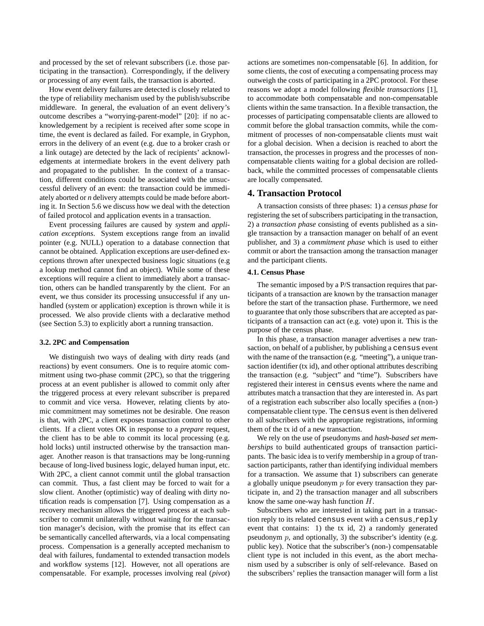and processed by the set of relevant subscribers (i.e. those participating in the transaction). Correspondingly, if the delivery or processing of any event fails, the transaction is aborted.

How event delivery failures are detected is closely related to the type of reliability mechanism used by the publish/subscribe middleware. In general, the evaluation of an event delivery's outcome describes a "worrying-parent-model" [20]: if no acknowledgement by a recipient is received after some scope in time, the event is declared as failed. For example, in Gryphon, errors in the delivery of an event (e.g. due to a broker crash or a link outage) are detected by the lack of recipients' acknowledgements at intermediate brokers in the event delivery path and propagated to the publisher. In the context of a transaction, different conditions could be associated with the unsuccessful delivery of an event: the transaction could be immediately aborted or *n* delivery attempts could be made before aborting it. In Section 5.6 we discuss how we deal with the detection of failed protocol and application events in a transaction.

Event processing failures are caused by *system* and *application exceptions*. System exceptions range from an invalid pointer (e.g. NULL) operation to a database connection that cannot be obtained. Application exceptions are user-defined exceptions thrown after unexpected business logic situations (e.g a lookup method cannot find an object). While some of these exceptions will require a client to immediately abort a transaction, others can be handled transparently by the client. For an event, we thus consider its processing unsuccessful if any unhandled (system or application) exception is thrown while it is processed. We also provide clients with a declarative method (see Section 5.3) to explicitly abort a running transaction.

#### **3.2. 2PC and Compensation**

We distinguish two ways of dealing with dirty reads (and reactions) by event consumers. One is to require atomic commitment using two-phase commit (2PC), so that the triggering process at an event publisher is allowed to commit only after the triggered process at every relevant subscriber is prepared to commit and vice versa. However, relating clients by atomic commitment may sometimes not be desirable. One reason is that, with 2PC, a client exposes transaction control to other clients. If a client votes OK in response to a *prepare* request, the client has to be able to commit its local processing (e.g. hold locks) until instructed otherwise by the transaction manager. Another reason is that transactions may be long-running because of long-lived business logic, delayed human input, etc. With 2PC, a client cannot commit until the global transaction can commit. Thus, a fast client may be forced to wait for a slow client. Another (optimistic) way of dealing with dirty notification reads is compensation [7]. Using compensation as a recovery mechanism allows the triggered process at each subscriber to commit unilaterally without waiting for the transaction manager's decision, with the promise that its effect can be semantically cancelled afterwards, via a local compensating process. Compensation is a generally accepted mechanism to deal with failures, fundamental to extended transaction models and workflow systems [12]. However, not all operations are compensatable. For example, processes involving real (*pivot*) actions are sometimes non-compensatable [6]. In addition, for some clients, the cost of executing a compensating process may outweigh the costs of participating in a 2PC protocol. For these reasons we adopt a model following *flexible transactions* [1], to accommodate both compensatable and non-compensatable clients within the same transaction. In a flexible transaction, the processes of participating compensatable clients are allowed to commit before the global transaction commits, while the commitment of processes of non-compensatable clients must wait for a global decision. When a decision is reached to abort the transaction, the processes in progress and the processes of noncompensatable clients waiting for a global decision are rolledback, while the committed processes of compensatable clients are locally compensated.

### **4. Transaction Protocol**

A transaction consists of three phases: 1) a *census phase* for registering the set of subscribers participating in the transaction, 2) a *transaction phase* consisting of events published as a single transaction by a transaction manager on behalf of an event publisher, and 3) a *commitment phase* which is used to either commit or abort the transaction among the transaction manager and the participant clients.

### **4.1. Census Phase**

The semantic imposed by a P/S transaction requires that participants of a transaction are known by the transaction manager before the start of the transaction phase. Furthermore, we need to guarantee that only those subscribers that are accepted as participants of a transaction can act (e.g. vote) upon it. This is the purpose of the census phase.

In this phase, a transaction manager advertises a new transaction, on behalf of a publisher, by publishing a census event with the name of the transaction (e.g. "meeting"), a unique transaction identifier (tx id), and other optional attributes describing the transaction (e.g. "subject" and "time"). Subscribers have registered their interest in census events where the name and attributes match a transaction that they are interested in. As part of a registration each subscriber also locally specifies a (non-) compensatable client type. The census event is then delivered to all subscribers with the appropriate registrations, informing them of the tx id of a new transaction.

We rely on the use of pseudonyms and *hash-based set memberships* to build authenticated groups of transaction participants. The basic idea is to verify membership in a group of transaction participants, rather than identifying individual members for a transaction. We assume that 1) subscribers can generate a globally unique pseudonym  $p$  for every transaction they participate in, and 2) the transaction manager and all subscribers know the same one-way hash function H.

Subscribers who are interested in taking part in a transaction reply to its related census event with a census\_reply event that contains: 1) the tx id, 2) a randomly generated pseudonym  $p$ , and optionally, 3) the subscriber's identity (e.g. public key). Notice that the subscriber's (non-) compensatable client type is not included in this event, as the abort mechanism used by a subscriber is only of self-relevance. Based on the subscribers' replies the transaction manager will form a list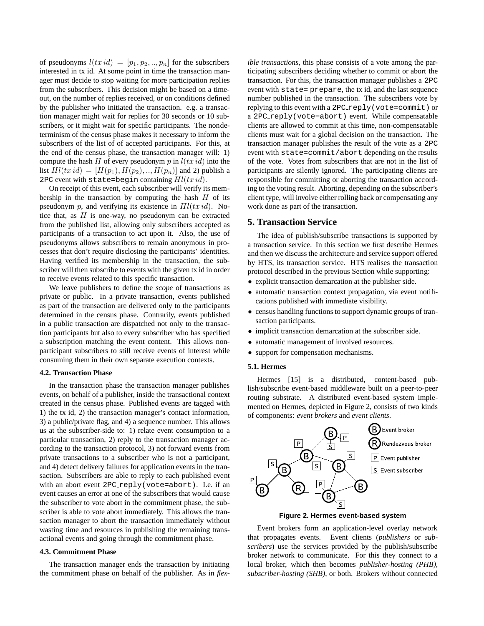of pseudonyms  $l(tx \, id) = [p_1, p_2, ..., p_n]$  for the subscribers interested in tx id. At some point in time the transaction manager must decide to stop waiting for more participation replies from the subscribers. This decision might be based on a timeout, on the number of replies received, or on conditions defined by the publisher who initiated the transaction. e.g. a transaction manager might wait for replies for 30 seconds or 10 subscribers, or it might wait for specific participants. The nondeterminism of the census phase makes it necessary to inform the subscribers of the list of of accepted participants. For this, at the end of the census phase, the transaction manager will: 1) compute the hash H of every pseudonym p in  $l(tx \, id)$  into the list  $Hl(tx \, id) = [H(p_1), H(p_2), ..., H(p_n)]$  and 2) publish a 2PC event with state=begin containing  $Hl(tx\, id)$ .

On receipt of this event, each subscriber will verify its membership in the transaction by computing the hash  $H$  of its pseudonym p, and verifying its existence in  $Hl(tx\, id)$ . Notice that, as  $H$  is one-way, no pseudonym can be extracted from the published list, allowing only subscribers accepted as participants of a transaction to act upon it. Also, the use of pseudonyms allows subscribers to remain anonymous in processes that don't require disclosing the participants' identities. Having verified its membership in the transaction, the subscriber will then subscribe to events with the given tx id in order to receive events related to this specific transaction.

We leave publishers to define the *scope* of transactions as private or public. In a private transaction, events published as part of the transaction are delivered only to the participants determined in the census phase. Contrarily, events published in a public transaction are dispatched not only to the transaction participants but also to every subscriber who has specified a subscription matching the event content. This allows nonparticipant subscribers to still receive events of interest while consuming them in their own separate execution contexts.

#### **4.2. Transaction Phase**

In the transaction phase the transaction manager publishes events, on behalf of a publisher, inside the transactional context created in the census phase. Published events are tagged with 1) the tx id, 2) the transaction manager's contact information, 3) a public/private flag, and 4) a sequence number. This allows us at the subscriber-side to: 1) relate event consumption to a particular transaction, 2) reply to the transaction manager according to the transaction protocol, 3) not forward events from private transactions to a subscriber who is not a participant, and 4) detect delivery failures for application events in the transaction. Subscribers are able to reply to each published event with an abort event  $2PC\_reply(vote=abort)$ . I.e. if an event causes an error at one of the subscribers that would cause the subscriber to vote abort in the commitment phase, the subscriber is able to vote abort immediately. This allows the transaction manager to abort the transaction immediately without wasting time and resources in publishing the remaining transactional events and going through the commitment phase.

#### **4.3. Commitment Phase**

The transaction manager ends the transaction by initiating the commitment phase on behalf of the publisher. As in *flex-* *ible transactions*, this phase consists of a vote among the participating subscribers deciding whether to commit or abort the transaction. For this, the transaction manager publishes a 2PC event with state= prepare, the tx id, and the last sequence number published in the transaction. The subscribers vote by replying to this event with a 2PC\_reply(vote=commit) or a 2PC\_reply(vote=abort) event. While compensatable clients are allowed to commit at this time, non-compensatable clients must wait for a global decision on the transaction. The transaction manager publishes the result of the vote as a 2PC event with state=commit/abort depending on the results of the vote. Votes from subscribers that are not in the list of participants are silently ignored. The participating clients are responsible for committing or aborting the transaction according to the voting result. Aborting, depending on the subscriber's client type, will involve either rolling back or compensating any work done as part of the transaction.

# **5. Transaction Service**

The idea of publish/subscribe transactions is supported by a transaction service. In this section we first describe Hermes and then we discuss the architecture and service support offered by HTS, its transaction service. HTS realises the transaction protocol described in the previous Section while supporting:

- explicit transaction demarcation at the publisher side.
- automatic transaction context propagation, via event notifications published with immediate visibility.
- census handling functions to support dynamic groups of transaction participants.
- implicit transaction demarcation at the subscriber side.
- automatic management of involved resources.
- support for compensation mechanisms.

#### **5.1. Hermes**

Hermes [15] is a distributed, content-based publish/subscribe event-based middleware built on a peer-to-peer routing substrate. A distributed event-based system implemented on Hermes, depicted in Figure 2, consists of two kinds of components: *event brokers* and *event clients*.



**Figure 2. Hermes event-based system**

Event brokers form an application-level overlay network that propagates events. Event clients (*publishers* or *subscribers*) use the services provided by the publish/subscribe broker network to communicate. For this they connect to a local broker, which then becomes *publisher-hosting (PHB)*, *subscriber-hosting (SHB)*, or both. Brokers without connected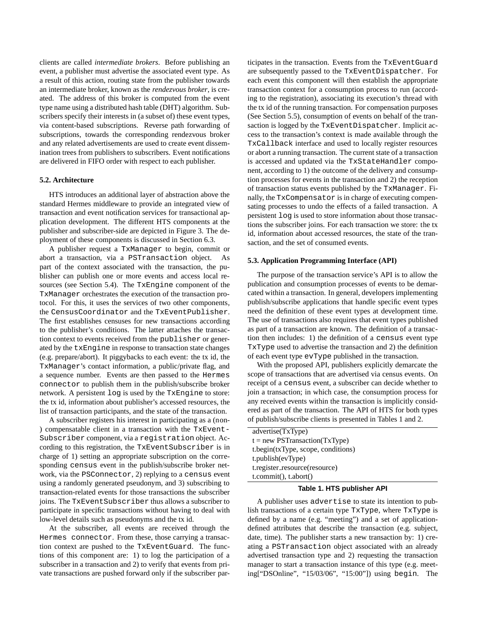clients are called *intermediate brokers*. Before publishing an event, a publisher must advertise the associated event type. As a result of this action, routing state from the publisher towards an intermediate broker, known as the *rendezvous broker*, is created. The address of this broker is computed from the event type name using a distributed hash table (DHT) algorithm. Subscribers specify their interests in (a subset of) these event types, via content-based subscriptions. Reverse path forwarding of subscriptions, towards the corresponding rendezvous broker and any related advertisements are used to create event dissemination trees from publishers to subscribers. Event notifications are delivered in FIFO order with respect to each publisher.

### **5.2. Architecture**

HTS introduces an additional layer of abstraction above the standard Hermes middleware to provide an integrated view of transaction and event notification services for transactional application development. The different HTS components at the publisher and subscriber-side are depicted in Figure 3. The deployment of these components is discussed in Section 6.3.

A publisher request a TxManager to begin, commit or abort a transaction, via a PSTransaction object. As part of the context associated with the transaction, the publisher can publish one or more events and access local resources (see Section 5.4). The TxEngine component of the TxManager orchestrates the execution of the transaction protocol. For this, it uses the services of two other components, the CensusCoordinator and the TxEventPublisher. The first establishes censuses for new transactions according to the publisher's conditions. The latter attaches the transaction context to events received from the publisher or generated by the txEngine in response to transaction state changes (e.g. prepare/abort). It piggybacks to each event: the tx id, the TxManager's contact information, a public/private flag, and a sequence number. Events are then passed to the Hermes connector to publish them in the publish/subscribe broker network. A persistent log is used by the TxEngine to store: the tx id, information about publisher's accessed resources, the list of transaction participants, and the state of the transaction.

A subscriber registers his interest in participating as a (non- ) compensatable client in a transaction with the TxEvent-Subscriber component, via a registration object. According to this registration, the TxEventSubscriber is in charge of 1) setting an appropriate subscription on the corresponding census event in the publish/subscribe broker network, via the PSConnector, 2) replying to a census event using a randomly generated pseudonym, and 3) subscribing to transaction-related events for those transactions the subscriber joins. The TxEventSubscriber thus allows a subscriber to participate in specific transactions without having to deal with low-level details such as pseudonyms and the tx id.

At the subscriber, all events are received through the Hermes connector. From these, those carrying a transaction context are pushed to the TxEventGuard. The functions of this component are: 1) to log the participation of a subscriber in a transaction and 2) to verify that events from private transactions are pushed forward only if the subscriber participates in the transaction. Events from the TxEventGuard are subsequently passed to the TxEventDispatcher. For each event this component will then establish the appropriate transaction context for a consumption process to run (according to the registration), associating its execution's thread with the tx id of the running transaction. For compensation purposes (See Section 5.5), consumption of events on behalf of the transaction is logged by the TxEventDispatcher. Implicit access to the transaction's context is made available through the TxCallback interface and used to locally register resources or abort a running transaction. The current state of a transaction is accessed and updated via the TxStateHandler component, according to 1) the outcome of the delivery and consumption processes for events in the transaction and 2) the reception of transaction status events published by the TxManager. Finally, the TxCompensator is in charge of executing compensating processes to undo the effects of a failed transaction. A persistent log is used to store information about those transactions the subscriber joins. For each transaction we store: the tx id, information about accessed resources, the state of the transaction, and the set of consumed events.

#### **5.3. Application Programming Interface (API)**

The purpose of the transaction service's API is to allow the publication and consumption processes of events to be demarcated within a transaction. In general, developers implementing publish/subscribe applications that handle specific event types need the definition of these event types at development time. The use of transactions also requires that event types published as part of a transaction are known. The definition of a transaction then includes: 1) the definition of a census event type TxType used to advertise the transaction and 2) the definition of each event type evType published in the transaction.

With the proposed API, publishers explicitly demarcate the scope of transactions that are advertised via census events. On receipt of a census event, a subscriber can decide whether to join a transaction; in which case, the consumption process for any received events within the transaction is implicitly considered as part of the transaction. The API of HTS for both types of publish/subscribe clients is presented in Tables 1 and 2.

advertise(TxType)  $t = new PSTransaction(TxType)$ t.begin(txType, scope, conditions) t.publish(evType) t.register\_resource(resource) t.commit(), t.abort()

#### **Table 1. HTS publisher API**

A publisher uses advertise to state its intention to publish transactions of a certain type TxType, where TxType is defined by a name (e.g. "meeting") and a set of applicationdefined attributes that describe the transaction (e.g. subject, date, time). The publisher starts a new transaction by: 1) creating a PSTransaction object associated with an already advertised transaction type and 2) requesting the transaction manager to start a transaction instance of this type (e.g. meeting["DSOnline", "15/03/06", "15:00"]) using begin. The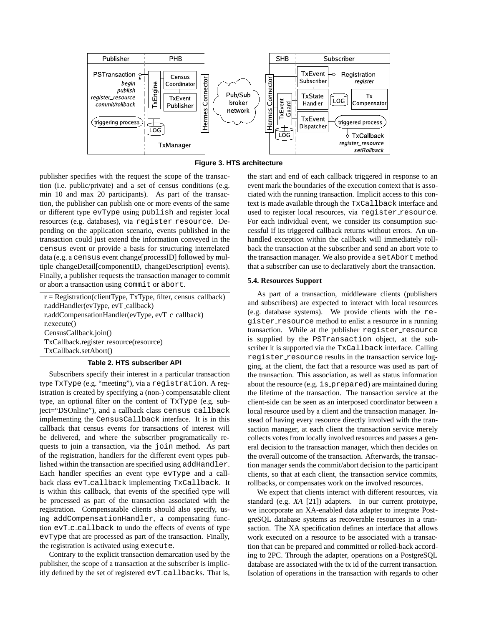

**Figure 3. HTS architecture**

publisher specifies with the request the scope of the transaction (i.e. public/private) and a set of census conditions (e.g. min 10 and max 20 participants). As part of the transaction, the publisher can publish one or more events of the same or different type evType using publish and register local resources (e.g. databases), via register\_resource. Depending on the application scenario, events published in the transaction could just extend the information conveyed in the census event or provide a basis for structuring interrelated data (e.g. a census event change[processID] followed by multiple changeDetail[componentID, changeDescription] events). Finally, a publisher requests the transaction manager to commit or abort a transaction using commit or abort.

 $r = \text{Region}(\text{clientType}, \text{TxType}, \text{filter}, \text{census}\_ \text{callback})$ r.addHandler(evType, evT\_callback) r.addCompensationHandler(evType, evT\_c\_callback) r.execute() CensusCallback.join() TxCallback.register\_resource(resource) TxCallback.setAbort()

# **Table 2. HTS subscriber API**

Subscribers specify their interest in a particular transaction type TxType (e.g. "meeting"), via a registration. A registration is created by specifying a (non-) compensatable client type, an optional filter on the content of TxType (e.g. subject="DSOnline"), and a callback class census callback implementing the CensusCallback interface. It is in this callback that census events for transactions of interest will be delivered, and where the subscriber programatically requests to join a transaction, via the join method. As part of the registration, handlers for the different event types published within the transaction are specified using addHandler. Each handler specifies an event type evType and a callback class evT callback implementing TxCallback. It is within this callback, that events of the specified type will be processed as part of the transaction associated with the registration. Compensatable clients should also specify, using addCompensationHandler, a compensating function evT c callback to undo the effects of events of type evType that are processed as part of the transaction. Finally, the registration is activated using execute.

Contrary to the explicit transaction demarcation used by the publisher, the scope of a transaction at the subscriber is implicitly defined by the set of registered evT\_callbacks. That is, the start and end of each callback triggered in response to an event mark the boundaries of the execution context that is associated with the running transaction. Implicit access to this context is made available through the TxCallback interface and used to register local resources, via register resource. For each individual event, we consider its consumption successful if its triggered callback returns without errors. An unhandled exception within the callback will immediately rollback the transaction at the subscriber and send an abort vote to the transaction manager. We also provide a setAbort method that a subscriber can use to declaratively abort the transaction.

#### **5.4. Resources Support**

As part of a transaction, middleware clients (publishers and subscribers) are expected to interact with local resources (e.g. database systems). We provide clients with the register resource method to enlist a resource in a running transaction. While at the publisher register resource is supplied by the PSTransaction object, at the subscriber it is supported via the TxCallback interface. Calling register resource results in the transaction service logging, at the client, the fact that a resource was used as part of the transaction. This association, as well as status information about the resource (e.g. is prepared) are maintained during the lifetime of the transaction. The transaction service at the client-side can be seen as an interposed coordinator between a local resource used by a client and the transaction manager. Instead of having every resource directly involved with the transaction manager, at each client the transaction service merely collects votes from locally involved resources and passes a general decision to the transaction manager, which then decides on the overall outcome of the transaction. Afterwards, the transaction manager sends the commit/abort decision to the participant clients, so that at each client, the transaction service commits, rollbacks, or compensates work on the involved resources.

We expect that clients interact with different resources, via standard (e.g. *XA* [21]) adapters. In our current prototype, we incorporate an XA-enabled data adapter to integrate PostgreSQL database systems as recoverable resources in a transaction. The XA specification defines an interface that allows work executed on a resource to be associated with a transaction that can be prepared and committed or rolled-back according to 2PC. Through the adapter, operations on a PostgreSQL database are associated with the tx id of the current transaction. Isolation of operations in the transaction with regards to other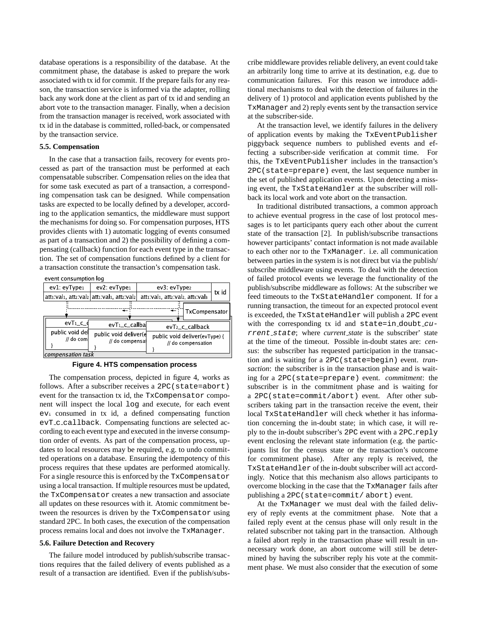database operations is a responsibility of the database. At the commitment phase, the database is asked to prepare the work associated with tx id for commit. If the prepare fails for any reason, the transaction service is informed via the adapter, rolling back any work done at the client as part of tx id and sending an abort vote to the transaction manager. Finally, when a decision from the transaction manager is received, work associated with tx id in the database is committed, rolled-back, or compensated by the transaction service.

#### **5.5. Compensation**

In the case that a transaction fails, recovery for events processed as part of the transaction must be performed at each compensatable subscriber. Compensation relies on the idea that for some task executed as part of a transaction, a corresponding compensation task can be designed. While compensation tasks are expected to be locally defined by a developer, according to the application semantics, the middleware must support the mechanisms for doing so. For compensation purposes, HTS provides clients with 1) automatic logging of events consumed as part of a transaction and 2) the possibility of defining a compensating (callback) function for each event type in the transaction. The set of compensation functions defined by a client for a transaction constitute the transaction's compensation task.

event consumption log

| ev1. evType1                 | ev2: evType1                              | ev3: evType2                                        | tx id |
|------------------------------|-------------------------------------------|-----------------------------------------------------|-------|
|                              | attı:valı, attı:valı attı:valı, attı:valı | attı:valı, attı:valı, attı:valı                     |       |
| TxCompensator                |                                           |                                                     |       |
| $evT_1$ _c_d                 | evT <sub>1</sub> _c_callba                | evT <sub>2</sub> _c_callback                        |       |
| public void del<br>// do com | public void deliver(e)<br>// do compensal | public void deliver(evType) {<br>// do compensation |       |
| compensation task            |                                           |                                                     |       |

**Figure 4. HTS compensation process**

The compensation process, depicted in figure 4, works as follows. After a subscriber receives a 2PC (state=abort) event for the transaction tx id, the TxCompensator component will inspect the local log and execute, for each event ev<sup>i</sup> consumed in tx id, a defined compensating function evT<sub>-C-Callback</sub>. Compensating functions are selected according to each event type and executed in the inverse consumption order of events. As part of the compensation process, updates to local resources may be required, e.g. to undo committed operations on a database. Ensuring the idempotency of this process requires that these updates are performed atomically. For a single resource this is enforced by the TxCompensator using a local transaction. If multiple resources must be updated, the TxCompensator creates a new transaction and associate all updates on these resources with it. Atomic commitment between the resources is driven by the TxCompensator using standard 2PC. In both cases, the execution of the compensation process remains local and does not involve the TxManager.

#### **5.6. Failure Detection and Recovery**

The failure model introduced by publish/subscribe transactions requires that the failed delivery of events published as a result of a transaction are identified. Even if the publish/subscribe middleware provides reliable delivery, an event could take an arbitrarily long time to arrive at its destination, e.g. due to communication failures. For this reason we introduce additional mechanisms to deal with the detection of failures in the delivery of 1) protocol and application events published by the TxManager and 2) reply events sent by the transaction service at the subscriber-side.

At the transaction level, we identify failures in the delivery of application events by making the TxEventPublisher piggyback sequence numbers to published events and effecting a subscriber-side verification at commit time. For this, the TxEventPublisher includes in the transaction's 2PC(state=prepare) event, the last sequence number in the set of published application events. Upon detecting a missing event, the TxStateHandler at the subscriber will rollback its local work and vote abort on the transaction.

In traditional distributed transactions, a common approach to achieve eventual progress in the case of lost protocol messages is to let participants query each other about the current state of the transaction [2]. In publish/subscribe transactions however participants' contact information is not made available to each other nor to the TxManager. i.e. all communication between parties in the system is is not direct but via the publish/ subscribe middleware using events. To deal with the detection of failed protocol events we leverage the functionality of the publish/subscribe middleware as follows: At the subscriber we feed timeouts to the TxStateHandler component. If for a running transaction, the timeout for an expected protocol event is exceeded, the TxStateHandler will publish a 2PC event with the corresponding tx id and  $state=in_doubt_ccu$ rrent state; where *current state* is the subscriber' state at the time of the timeout. Possible in-doubt states are: *census*: the subscriber has requested participation in the transaction and is waiting for a 2PC(state=begin) event. *transaction*: the subscriber is in the transaction phase and is waiting for a 2PC(state=prepare) event. *commitment*: the subscriber is in the commitment phase and is waiting for a 2PC(state=commit/abort) event. After other subscribers taking part in the transaction receive the event, their local TxStateHandler will check whether it has information concerning the in-doubt state; in which case, it will reply to the in-doubt subscriber's 2PC event with a 2PC reply event enclosing the relevant state information (e.g. the participants list for the census state or the transaction's outcome for commitment phase). After any reply is received, the TxStateHandler of the in-doubt subscriber will act accordingly. Notice that this mechanism also allows participants to overcome blocking in the case that the TxManager fails after publishing a 2PC(state=commit/ abort) event.

At the TxManager we must deal with the failed delivery of reply events at the commitment phase. Note that a failed reply event at the census phase will only result in the related subscriber not taking part in the transaction. Although a failed abort reply in the transaction phase will result in unnecessary work done, an abort outcome will still be determined by having the subscriber reply his vote at the commitment phase. We must also consider that the execution of some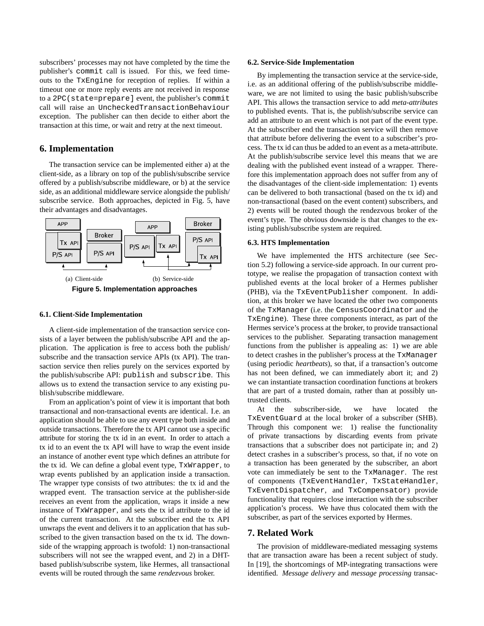subscribers' processes may not have completed by the time the publisher's commit call is issued. For this, we feed timeouts to the TxEngine for reception of replies. If within a timeout one or more reply events are not received in response to a 2PC(state=prepare] event, the publisher's commit call will raise an UncheckedTransactionBehaviour exception. The publisher can then decide to either abort the transaction at this time, or wait and retry at the next timeout.

# **6. Implementation**

The transaction service can be implemented either a) at the client-side, as a library on top of the publish/subscribe service offered by a publish/subscribe middleware, or b) at the service side, as an additional middleware service alongside the publish/ subscribe service. Both approaches, depicted in Fig. 5, have their advantages and disadvantages.



#### **6.1. Client-Side Implementation**

A client-side implementation of the transaction service consists of a layer between the publish/subscribe API and the application. The application is free to access both the publish/ subscribe and the transaction service APIs (tx API). The transaction service then relies purely on the services exported by the publish/subscribe API: publish and subscribe. This allows us to extend the transaction service to any existing publish/subscribe middleware.

From an application's point of view it is important that both transactional and non-transactional events are identical. I.e. an application should be able to use any event type both inside and outside transactions. Therefore the tx API cannot use a specific attribute for storing the tx id in an event. In order to attach a tx id to an event the tx API will have to wrap the event inside an instance of another event type which defines an attribute for the tx id. We can define a global event type, TxWrapper, to wrap events published by an application inside a transaction. The wrapper type consists of two attributes: the tx id and the wrapped event. The transaction service at the publisher-side receives an event from the application, wraps it inside a new instance of TxWrapper, and sets the tx id attribute to the id of the current transaction. At the subscriber end the tx API unwraps the event and delivers it to an application that has subscribed to the given transaction based on the tx id. The downside of the wrapping approach is twofold: 1) non-transactional subscribers will not see the wrapped event, and 2) in a DHTbased publish/subscribe system, like Hermes, all transactional events will be routed through the same *rendezvous* broker.

#### **6.2. Service-Side Implementation**

By implementing the transaction service at the service-side, i.e. as an additional offering of the publish/subscribe middleware, we are not limited to using the basic publish/subscribe API. This allows the transaction service to add *meta-attributes* to published events. That is, the publish/subscribe service can add an attribute to an event which is not part of the event type. At the subscriber end the transaction service will then remove that attribute before delivering the event to a subscriber's process. The tx id can thus be added to an event as a meta-attribute. At the publish/subscribe service level this means that we are dealing with the published event instead of a wrapper. Therefore this implementation approach does not suffer from any of the disadvantages of the client-side implementation: 1) events can be delivered to both transactional (based on the tx id) and non-transactional (based on the event content) subscribers, and 2) events will be routed though the rendezvous broker of the event's type. The obvious downside is that changes to the existing publish/subscribe system are required.

## **6.3. HTS Implementation**

We have implemented the HTS architecture (see Section 5.2) following a service-side approach. In our current prototype, we realise the propagation of transaction context with published events at the local broker of a Hermes publisher (PHB), via the TxEventPublisher component. In addition, at this broker we have located the other two components of the TxManager (i.e. the CensusCoordinator and the TxEngine). These three components interact, as part of the Hermes service's process at the broker, to provide transactional services to the publisher. Separating transaction management functions from the publisher is appealing as: 1) we are able to detect crashes in the publisher's process at the TxManager (using periodic *heartbeats*), so that, if a transaction's outcome has not been defined, we can immediately abort it; and 2) we can instantiate transaction coordination functions at brokers that are part of a trusted domain, rather than at possibly untrusted clients.

At the subscriber-side, we have located the TxEventGuard at the local broker of a subscriber (SHB). Through this component we: 1) realise the functionality of private transactions by discarding events from private transactions that a subscriber does not participate in; and 2) detect crashes in a subscriber's process, so that, if no vote on a transaction has been generated by the subscriber, an abort vote can immediately be sent to the TxManager. The rest of components (TxEventHandler, TxStateHandler, TxEventDispatcher, and TxCompensator) provide functionality that requires close interaction with the subscriber application's process. We have thus colocated them with the subscriber, as part of the services exported by Hermes.

### **7. Related Work**

The provision of middleware-mediated messaging systems that are transaction aware has been a recent subject of study. In [19], the shortcomings of MP-integrating transactions were identified. *Message delivery* and *message processing* transac-